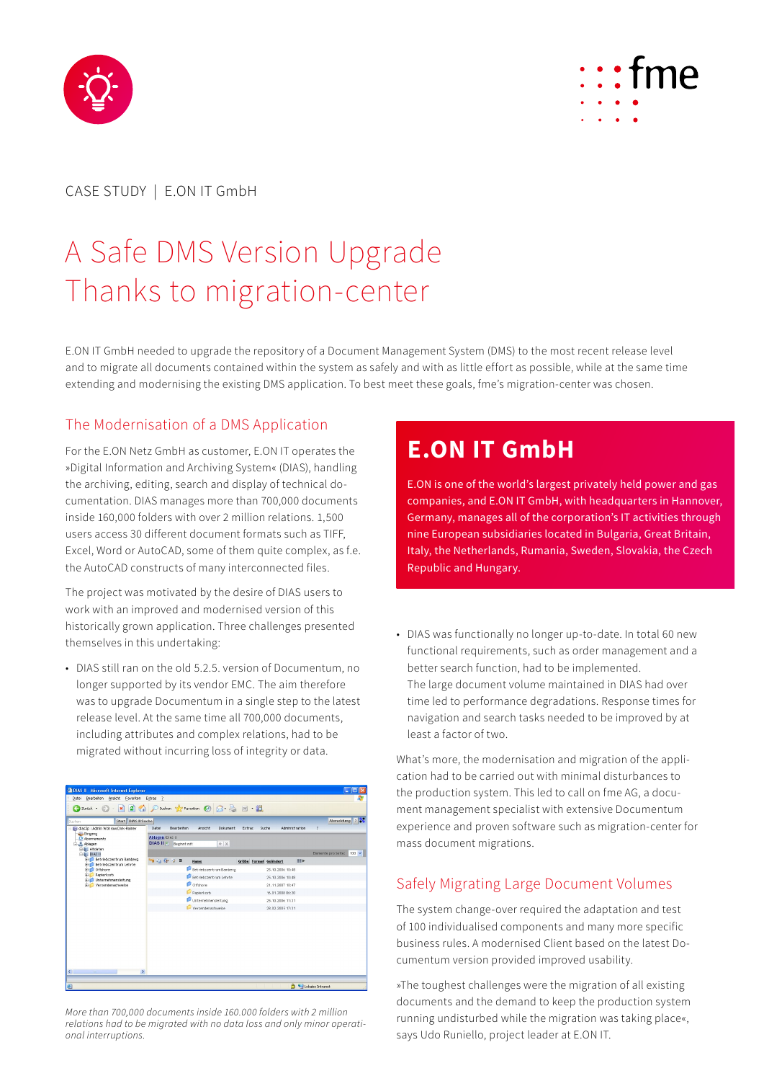



# CASE STUDY | E.ON IT GmbH

# A Safe DMS Version Upgrade Thanks to migration-center

E.ON IT GmbH needed to upgrade the repository of a Document Management System (DMS) to the most recent release level and to migrate all documents contained within the system as safely and with as little effort as possible, while at the same time extending and modernising the existing DMS application. To best meet these goals, fme's migration-center was chosen.

## The Modernisation of a DMS Application

For the E.ON Netz GmbH as customer, E.ON IT operates the »Digital Information and Archiving System« (DIAS), handling the archiving, editing, search and display of technical documentation. DIAS manages more than 700,000 documents inside 160,000 folders with over 2 million relations. 1,500 users access 30 different document formats such as TIFF, Excel, Word or AutoCAD, some of them quite complex, as f.e. the AutoCAD constructs of many interconnected files.

The project was motivated by the desire of DIAS users to work with an improved and modernised version of this historically grown application. Three challenges presented themselves in this undertaking:

• DIAS still ran on the old 5.2.5. version of Documentum, no longer supported by its vendor EMC. The aim therefore was to upgrade Documentum in a single step to the latest release level. At the same time all 700,000 documents, including attributes and complex relations, had to be migrated without incurring loss of integrity or data.

| 2 DIAS II - Microsoft Internet Explorer<br>īо                                                                                                                                                                                                           |                                            |                                       |  |
|---------------------------------------------------------------------------------------------------------------------------------------------------------------------------------------------------------------------------------------------------------|--------------------------------------------|---------------------------------------|--|
| Datei Bearbeiten Ansicht Favoriten Extras ?                                                                                                                                                                                                             |                                            |                                       |  |
| → Zurück · ○ · × 2 4 2 A D Sutten ☆ Favorken → ○ △ △ 四 · 說                                                                                                                                                                                              |                                            |                                       |  |
| Abmeldung ?<br>Start DIAS II Suche<br>Suchen                                                                                                                                                                                                            |                                            |                                       |  |
| dias2p : Admin Wohrow Dirk-Rainer<br>Eingang<br>Abonnements<br><b>M.</b> Ablagen<br>E- Altdaten<br>E-III: DIAS II<br>Betriebszentrum Bamberg<br>Betriebszentrum Lehrte<br>Offshore<br>Papterkorb<br><b>E-C</b> Unternehmensleitung<br>Versendenachweise | Datei<br>Bearbeiten<br>Ansteht<br>Dokument | Suche<br>Administration<br>Extras     |  |
|                                                                                                                                                                                                                                                         | Ablagen/DIAS II                            |                                       |  |
|                                                                                                                                                                                                                                                         | DIAS II T Beginnt mit<br>* ×               |                                       |  |
|                                                                                                                                                                                                                                                         |                                            | Elemente pro Seite:<br>$100 \sqrt{ }$ |  |
|                                                                                                                                                                                                                                                         | → 白 印 ク B<br><b>Name</b>                   | <b>ISSN</b><br>Größe Format Geändert  |  |
|                                                                                                                                                                                                                                                         | Betriebszentrum Bamberg                    | 25.10.2006 10:48                      |  |
|                                                                                                                                                                                                                                                         | Betriebszentrum Lehrte                     | 25.10.2006 10:48                      |  |
|                                                                                                                                                                                                                                                         | <b>Offshore</b>                            | 21.11.2007 10:47                      |  |
|                                                                                                                                                                                                                                                         | Papierkorb                                 | 16.01.2008.06:20                      |  |
|                                                                                                                                                                                                                                                         | Unternehmensleitung                        | 25.10.2006 11:31                      |  |
|                                                                                                                                                                                                                                                         | Versendenachweise                          | 28.02.2005 17:31                      |  |
|                                                                                                                                                                                                                                                         |                                            |                                       |  |
|                                                                                                                                                                                                                                                         |                                            |                                       |  |
|                                                                                                                                                                                                                                                         |                                            |                                       |  |
|                                                                                                                                                                                                                                                         |                                            |                                       |  |
|                                                                                                                                                                                                                                                         |                                            |                                       |  |
|                                                                                                                                                                                                                                                         |                                            |                                       |  |
|                                                                                                                                                                                                                                                         |                                            |                                       |  |
| $\langle$<br>$\rightarrow$<br>m                                                                                                                                                                                                                         |                                            |                                       |  |
|                                                                                                                                                                                                                                                         |                                            |                                       |  |
| 衙                                                                                                                                                                                                                                                       |                                            | <b>A</b> Uckales Intranet             |  |

*More than 700,000 documents inside 160.000 folders with 2 million relations had to be migrated with no data loss and only minor operational interruptions.*

# **E.ON IT GmbH**

E.ON is one of the world's largest privately held power and gas companies, and E.ON IT GmbH, with headquarters in Hannover, Germany, manages all of the corporation's IT activities through nine European subsidiaries located in Bulgaria, Great Britain, Italy, the Netherlands, Rumania, Sweden, Slovakia, the Czech Republic and Hungary.

• DIAS was functionally no longer up-to-date. In total 60 new functional requirements, such as order management and a better search function, had to be implemented. The large document volume maintained in DIAS had over time led to performance degradations. Response times for navigation and search tasks needed to be improved by at least a factor of two.

What's more, the modernisation and migration of the application had to be carried out with minimal disturbances to the production system. This led to call on fme AG, a document management specialist with extensive Documentum experience and proven software such as migration-center for mass document migrations.

# Safely Migrating Large Document Volumes

The system change-over required the adaptation and test of 100 individualised components and many more specific business rules. A modernised Client based on the latest Documentum version provided improved usability.

»The toughest challenges were the migration of all existing documents and the demand to keep the production system running undisturbed while the migration was taking place«, says Udo Runiello, project leader at E.ON IT.